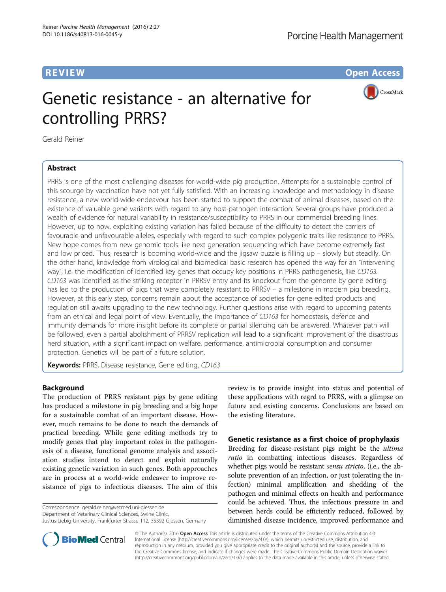**REVIEW CONSTRUCTION CONSTRUCTION CONSTRUCTS** 

CrossMark

# Genetic resistance - an alternative for controlling PRRS?

Gerald Reiner

# Abstract

PRRS is one of the most challenging diseases for world-wide pig production. Attempts for a sustainable control of this scourge by vaccination have not yet fully satisfied. With an increasing knowledge and methodology in disease resistance, a new world-wide endeavour has been started to support the combat of animal diseases, based on the existence of valuable gene variants with regard to any host-pathogen interaction. Several groups have produced a wealth of evidence for natural variability in resistance/susceptibility to PRRS in our commercial breeding lines. However, up to now, exploiting existing variation has failed because of the difficulty to detect the carriers of favourable and unfavourable alleles, especially with regard to such complex polygenic traits like resistance to PRRS. New hope comes from new genomic tools like next generation sequencing which have become extremely fast and low priced. Thus, research is booming world-wide and the jigsaw puzzle is filling up – slowly but steadily. On the other hand, knowledge from virological and biomedical basic research has opened the way for an "intervening way", i.e. the modification of identified key genes that occupy key positions in PRRS pathogenesis, like CD163. CD163 was identified as the striking receptor in PRRSV entry and its knockout from the genome by gene editing has led to the production of pigs that were completely resistant to PRRSV – a milestone in modern pig breeding. However, at this early step, concerns remain about the acceptance of societies for gene edited products and regulation still awaits upgrading to the new technology. Further questions arise with regard to upcoming patents from an ethical and legal point of view. Eventually, the importance of CD163 for homeostasis, defence and immunity demands for more insight before its complete or partial silencing can be answered. Whatever path will be followed, even a partial abolishment of PRRSV replication will lead to a significant improvement of the disastrous herd situation, with a significant impact on welfare, performance, antimicrobial consumption and consumer protection. Genetics will be part of a future solution.

Keywords: PRRS, Disease resistance, Gene editing, CD163

# Background

The production of PRRS resistant pigs by gene editing has produced a milestone in pig breeding and a big hope for a sustainable combat of an important disease. However, much remains to be done to reach the demands of practical breeding. While gene editing methods try to modify genes that play important roles in the pathogenesis of a disease, functional genome analysis and association studies intend to detect and exploit naturally existing genetic variation in such genes. Both approaches are in process at a world-wide endeaver to improve resistance of pigs to infectious diseases. The aim of this

Correspondence: [gerald.reiner@vetmed.uni-giessen.de](mailto:gerald.reiner@vetmed.uni-giessen.de)

Department of Veterinary Clinical Sciences, Swine Clinic,

Justus-Liebig-University, Frankfurter Strasse 112, 35392 Giessen, Germany

review is to provide insight into status and potential of these applications with regrd to PRRS, with a glimpse on future and existing concerns. Conclusions are based on the existing literature.

### Genetic resistance as a first choice of prophylaxis

Breeding for disease-resistant pigs might be the ultima ratio in combatting infectious diseases. Regardless of whether pigs would be resistant *sensu stricto*, (i.e., the absolute prevention of an infection, or just tolerating the infection) minimal amplification and shedding of the pathogen and minimal effects on health and performance could be achieved. Thus, the infectious pressure in and between herds could be efficiently reduced, followed by diminished disease incidence, improved performance and



© The Author(s). 2016 Open Access This article is distributed under the terms of the Creative Commons Attribution 4.0 International License [\(http://creativecommons.org/licenses/by/4.0/](http://creativecommons.org/licenses/by/4.0/)), which permits unrestricted use, distribution, and reproduction in any medium, provided you give appropriate credit to the original author(s) and the source, provide a link to the Creative Commons license, and indicate if changes were made. The Creative Commons Public Domain Dedication waiver [\(http://creativecommons.org/publicdomain/zero/1.0/](http://creativecommons.org/publicdomain/zero/1.0/)) applies to the data made available in this article, unless otherwise stated.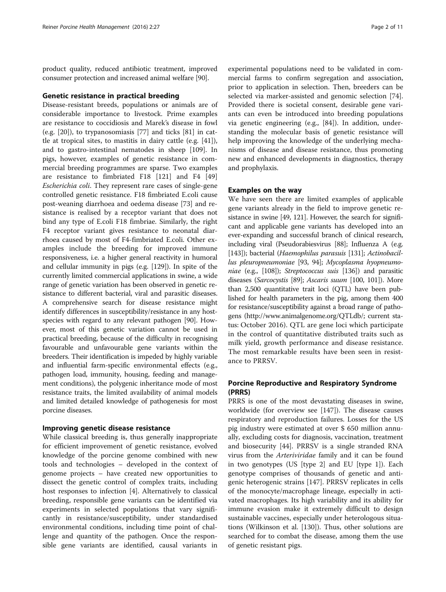product quality, reduced antibiotic treatment, improved consumer protection and increased animal welfare [\[90](#page-9-0)].

#### Genetic resistance in practical breeding

Disease-resistant breeds, populations or animals are of considerable importance to livestock. Prime examples are resistance to coccidiosis and Marek's disease in fowl (e.g. [\[20\]](#page-7-0)), to trypanosomiasis [\[77\]](#page-8-0) and ticks [\[81\]](#page-8-0) in cattle at tropical sites, to mastitis in dairy cattle (e.g. [\[41](#page-7-0)]), and to gastro-intestinal nematodes in sheep [\[109](#page-9-0)]. In pigs, however, examples of genetic resistance in commercial breeding programmes are sparse. Two examples are resistance to fimbriated F18 [\[121](#page-9-0)] and F4 [[49](#page-8-0)] Escherichia coli. They represent rare cases of single-gene controlled genetic resistance. F18 fimbriated E.coli cause post-weaning diarrhoea and oedema disease [\[73](#page-8-0)] and resistance is realised by a receptor variant that does not bind any type of E.coli F18 fimbriae. Similarly, the right F4 receptor variant gives resistance to neonatal diarrhoea caused by most of F4-fimbriated E.coli. Other examples include the breeding for improved immune responsiveness, i.e. a higher general reactivity in humoral and cellular immunity in pigs (e.g. [\[129\]](#page-10-0)). In spite of the currently limited commercial applications in swine, a wide range of genetic variation has been observed in genetic resistance to different bacterial, viral and parasitic diseases. A comprehensive search for disease resistance might identify differences in susceptibility/resistance in any hostspecies with regard to any relevant pathogen [\[90\]](#page-9-0). However, most of this genetic variation cannot be used in practical breeding, because of the difficulty in recognising favourable and unfavourable gene variants within the breeders. Their identification is impeded by highly variable and influential farm-specific environmental effects (e.g., pathogen load, immunity, housing, feeding and management conditions), the polygenic inheritance mode of most resistance traits, the limited availability of animal models and limited detailed knowledge of pathogenesis for most porcine diseases.

#### Improving genetic disease resistance

While classical breeding is, thus generally inappropriate for efficient improvement of genetic resistance, evolved knowledge of the porcine genome combined with new tools and technologies – developed in the context of genome projects – have created new opportunities to dissect the genetic control of complex traits, including host responses to infection [[4\]](#page-7-0). Alternatively to classical breeding, responsible gene variants can be identified via experiments in selected populations that vary significantly in resistance/susceptibility, under standardised environmental conditions, including time point of challenge and quantity of the pathogen. Once the responsible gene variants are identified, causal variants in

experimental populations need to be validated in commercial farms to confirm segregation and association, prior to application in selection. Then, breeders can be selected via marker-assisted and genomic selection [\[74](#page-8-0)]. Provided there is societal consent, desirable gene variants can even be introduced into breeding populations via genetic engineering (e.g., [[84\]](#page-8-0)). In addition, understanding the molecular basis of genetic resistance will help improving the knowledge of the underlying mechanisms of disease and disease resistance, thus promoting new and enhanced developments in diagnostics, therapy and prophylaxis.

### Examples on the way

We have seen there are limited examples of applicable gene variants already in the field to improve genetic resistance in swine [\[49,](#page-8-0) [121](#page-9-0)]. However, the search for significant and applicable gene variants has developed into an ever-expanding and successful branch of clinical research, including viral (Pseudorabiesvirus [[88](#page-9-0)]; Influenza A (e.g. [[143](#page-10-0)]); bacterial (Haemophilus parasuis [\[131\]](#page-10-0); Actinobacillus pleuropneumoniae [\[93](#page-9-0), [94](#page-9-0)]; Mycoplasma hyopneumo-niae (e.g., [[108\]](#page-9-0)); Streptococcus suis [\[136\]](#page-10-0)) and parasitic diseases (Sarcocystis [\[89\]](#page-9-0); Ascaris suum [\[100, 101\]](#page-9-0)). More than 2,500 quantitative trait loci (QTL) have been published for health parameters in the pig, among them 400 for resistance/susceptibility against a broad range of pathogens [\(http://www.animalgenome.org/QTLdb/;](http://www.animalgenome.org/QTLdb/) current status: October 2016). QTL are gene loci which participate in the control of quantitative distributed traits such as milk yield, growth performance and disease resistance. The most remarkable results have been seen in resistance to PRRSV.

# Porcine Reproductive and Respiratory Syndrome (PRRS)

PRRS is one of the most devastating diseases in swine, worldwide (for overview see [\[147](#page-10-0)]). The disease causes respiratory and reproduction failures. Losses for the US pig industry were estimated at over \$ 650 million annually, excluding costs for diagnosis, vaccination, treatment and biosecurity [[44](#page-7-0)]. PRRSV is a single stranded RNA virus from the Arteriviridae family and it can be found in two genotypes (US [type 2] and EU [type 1]). Each genotype comprises of thousands of genetic and antigenic heterogenic strains [[147\]](#page-10-0). PRRSV replicates in cells of the monocyte/macrophage lineage, especially in activated macrophages. Its high variability and its ability for immune evasion make it extremely difficult to design sustainable vaccines, especially under heterologous situations (Wilkinson et al. [[130](#page-10-0)]). Thus, other solutions are searched for to combat the disease, among them the use of genetic resistant pigs.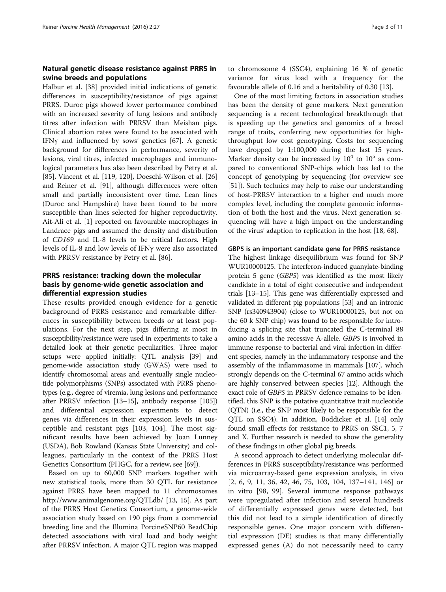# Natural genetic disease resistance against PRRS in swine breeds and populations

Halbur et al. [\[38\]](#page-7-0) provided initial indications of genetic differences in susceptibility/resistance of pigs against PRRS. Duroc pigs showed lower performance combined with an increased severity of lung lesions and antibody titres after infection with PRRSV than Meishan pigs. Clinical abortion rates were found to be associated with IFNγ and influenced by sows' genetics [[67\]](#page-8-0). A genetic background for differences in performance, severity of lesions, viral titres, infected macrophages and immunological parameters has also been described by Petry et al. [[85\]](#page-8-0), Vincent et al. [\[119, 120\]](#page-9-0), Doeschl-Wilson et al. [[26](#page-7-0)] and Reiner et al. [[91](#page-9-0)], although differences were often small and partially inconsistent over time. Lean lines (Duroc and Hampshire) have been found to be more susceptible than lines selected for higher reproductivity. Ait-Ali et al. [\[1](#page-6-0)] reported on favourable macrophages in Landrace pigs and assumed the density and distribution of CD169 and IL-8 levels to be critical factors. High levels of IL-8 and low levels of IFNγ were also associated with PRRSV resistance by Petry et al. [\[86\]](#page-9-0).

# PRRS resistance: tracking down the molecular basis by genome-wide genetic association and differential expression studies

These results provided enough evidence for a genetic background of PRRS resistance and remarkable differences in susceptibility between breeds or at least populations. For the next step, pigs differing at most in susceptibility/resistance were used in experiments to take a detailed look at their genetic peculiarities. Three major setups were applied initially: QTL analysis [\[39](#page-7-0)] and genome-wide association study (GWAS) were used to identify chromosomal areas and eventually single nucleotide polymorphisms (SNPs) associated with PRRS phenotypes (e.g., degree of viremia, lung lesions and performance after PRRSV infection [[13](#page-7-0)–[15](#page-7-0)], antibody response [\[105](#page-9-0)]) and differential expression experiments to detect genes via differences in their expression levels in susceptible and resistant pigs [[103](#page-9-0), [104\]](#page-9-0). The most significant results have been achieved by Joan Lunney (USDA), Bob Rowland (Kansas State University) and colleagues, particularly in the context of the PRRS Host Genetics Consortium (PHGC, for a review, see [\[69\]](#page-8-0)).

Based on up to 60,000 SNP markers together with new statistical tools, more than 30 QTL for resistance against PRRS have been mapped to 11 chromosomes <http://www.animalgenome.org/QTLdb/> [[13, 15\]](#page-7-0). As part of the PRRS Host Genetics Consortium, a genome-wide association study based on 190 pigs from a commercial breeding line and the Illumina PorcineSNP60 BeadChip detected associations with viral load and body weight after PRRSV infection. A major QTL region was mapped

to chromosome 4 (SSC4), explaining 16 % of genetic variance for virus load with a frequency for the favourable allele of 0.16 and a heritability of 0.30 [\[13](#page-7-0)].

One of the most limiting factors in association studies has been the density of gene markers. Next generation sequencing is a recent technological breakthrough that is speeding up the genetics and genomics of a broad range of traits, conferring new opportunities for highthroughput low cost genotyping. Costs for sequencing have dropped by 1:100,000 during the last 15 years. Marker density can be increased by  $10^4$  to  $10^5$  as compared to conventional SNP-chips which has led to the concept of genotyping by sequencing (for overview see [[51\]](#page-8-0)). Such technics may help to raise our understanding of host-PRRSV interaction to a higher end much more complex level, including the complete genomic information of both the host and the virus. Next generation sequencing will have a high impact on the understanding of the virus' adaption to replication in the host [\[18,](#page-7-0) [68\]](#page-8-0).

#### GBP5 is an important candidate gene for PRRS resistance

The highest linkage disequilibrium was found for SNP WUR10000125. The interferon-induced guanylate-binding protein 5 gene (GBP5) was identified as the most likely candidate in a total of eight consecutive and independent trials [\[13](#page-7-0)–[15](#page-7-0)]. This gene was differentially expressed and validated in different pig populations [\[53\]](#page-8-0) and an intronic SNP (rs340943904) (close to WUR10000125, but not on the 60 k SNP chip) was found to be responsible for introducing a splicing site that truncated the C-terminal 88 amino acids in the recessive A-allele. GBP5 is involved in immune response to bacterial and viral infection in different species, namely in the inflammatory response and the assembly of the inflammasome in mammals [\[107\]](#page-9-0), which strongly depends on the C-terminal 67 amino acids which are highly conserved between species [[12](#page-7-0)]. Although the exact role of GBP5 in PRRSV defence remains to be identified, this SNP is the putative quantitative trait nucleotide (QTN) (i.e., the SNP most likely to be responsible for the QTL on SSC4). In addition, Boddicker et al. [[14](#page-7-0)] only found small effects for resistance to PRRS on SSC1, 5, 7 and X. Further research is needed to show the generality of these findings in other global pig breeds.

A second approach to detect underlying molecular differences in PRRS susceptibility/resistance was performed via microarray-based gene expression analysis, in vivo [[2,](#page-6-0) [6](#page-7-0), [9](#page-7-0), [11, 36, 42](#page-7-0), [46](#page-8-0), [75,](#page-8-0) [103, 104,](#page-9-0) [137](#page-10-0)–[141](#page-10-0), [146](#page-10-0)] or in vitro [[98, 99](#page-9-0)]. Several immune response pathways were upregulated after infection and several hundreds of differentially expressed genes were detected, but this did not lead to a simple identification of directly responsible genes. One major concern with differential expression (DE) studies is that many differentially expressed genes (A) do not necessarily need to carry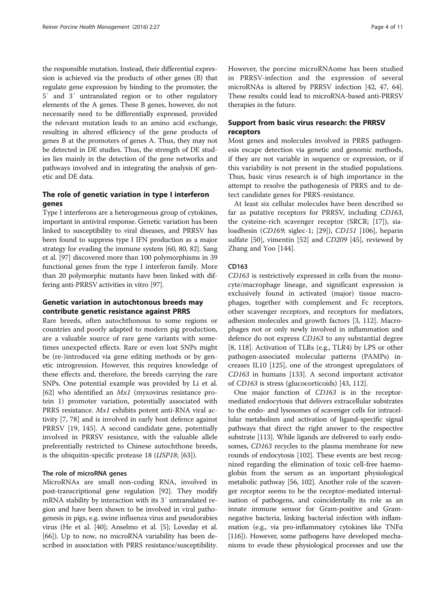the responsible mutation. Instead, their differential expression is achieved via the products of other genes (B) that regulate gene expression by binding to the promoter, the 5′ and 3′ untranslated region or to other regulatory elements of the A genes. These B genes, however, do not necessarily need to be differentially expressed, provided the relevant mutation leads to an amino acid exchange, resulting in altered efficiency of the gene products of genes B at the promoters of genes A. Thus, they may not be detected in DE studies. Thus, the strength of DE studies lies mainly in the detection of the gene networks and pathways involved and in integrating the analysis of genetic and DE data.

# The role of genetic variation in type I interferon genes

Type I interferons are a heterogeneous group of cytokines, important in antiviral response. Genetic variation has been linked to susceptibility to viral diseases, and PRRSV has been found to suppress type I IFN production as a major strategy for evading the immune system [\[60, 80](#page-8-0), [82](#page-8-0)]. Sang et al. [[97\]](#page-9-0) discovered more than 100 polymorphisms in 39 functional genes from the type I interferon family. More than 20 polymorphic mutants have been linked with differing anti-PRRSV activities in vitro [\[97\]](#page-9-0).

# Genetic variation in autochtonous breeds may contribute genetic resistance against PRRS

Rare breeds, often autochthonous to some regions or countries and poorly adapted to modern pig production, are a valuable source of rare gene variants with sometimes unexpected effects. Rare or even lost SNPs might be (re-)introduced via gene editing methods or by genetic introgression. However, this requires knowledge of these effects and, therefore, the breeds carrying the rare SNPs. One potential example was provided by Li et al. [[62\]](#page-8-0) who identified an Mx1 (myxovirus resistance protein 1) promoter variation, potentially associated with PRRS resistance. Mx1 exhibits potent anti-RNA viral activity [\[7](#page-7-0), [78](#page-8-0)] and is involved in early host defence against PRRSV [[19,](#page-7-0) [145\]](#page-10-0). A second candidate gene, potentially involved in PRRSV resistance, with the valuable allele preferentially restricted to Chinese autochthone breeds, is the ubiquitin-specific protease 18 (USP18; [[63](#page-8-0)]).

# The role of microRNA genes

MicroRNAs are small non-coding RNA, involved in post-transcriptional gene regulation [\[92](#page-9-0)]. They modify mRNA stability by interaction with its 3′ untranslated region and have been shown to be involved in viral pathogenesis in pigs, e.g. swine influenza virus and pseudorabies virus (He et al. [[40\]](#page-7-0); Anselmo et al. [\[5](#page-7-0)]; Loveday et al. [[66](#page-8-0)]). Up to now, no microRNA variability has been described in association with PRRS resistance/susceptibility.

However, the porcine microRNAome has been studied in PRRSV-infection and the expression of several microRNAs is altered by PRRSV infection [[42](#page-7-0), [47, 64](#page-8-0)]. These results could lead to microRNA-based anti-PRRSV therapies in the future.

# Support from basic virus research: the PRRSV receptors

Most genes and molecules involved in PRRS pathogenesis escape detection via genetic and genomic methods, if they are not variable in sequence or expression, or if this variability is not present in the studied populations. Thus, basic virus research is of high importance in the attempt to resolve the pathogenesis of PRRS and to detect candidate genes for PRRS-resistance.

At least six cellular molecules have been described so far as putative receptors for PRRSV, including CD163, the cysteine-rich scavenger receptor (SRCR; [[17\]](#page-7-0)), sialoadhesin (CD169; siglec-1; [[29\]](#page-7-0)), CD151 [\[106](#page-9-0)], heparin sulfate [\[50\]](#page-8-0), vimentin [[52\]](#page-8-0) and CD209 [\[45](#page-8-0)], reviewed by Zhang and Yoo [\[144\]](#page-10-0).

# CD163

CD163 is restrictively expressed in cells from the monocyte/macrophage lineage, and significant expression is exclusively found in activated (major) tissue macrophages, together with complement and Fc receptors, other scavenger receptors, and receptors for mediators, adhesion molecules and growth factors [\[3,](#page-7-0) [112](#page-9-0)]. Macrophages not or only newly involved in inflammation and defence do not express CD163 to any substantial degree [[8,](#page-7-0) [118\]](#page-9-0). Activation of TLRs (e.g., TLR4) by LPS or other pathogen-associated molecular patterns (PAMPs) increases IL10 [\[125\]](#page-9-0), one of the strongest upregulators of CD163 in humans [[133](#page-10-0)]. A second important activator of CD163 is stress (glucocorticoids) [\[43](#page-7-0), [112](#page-9-0)].

One major function of CD163 is in the receptormediated endocytosis that delivers extracellular substrates to the endo- and lysosomes of scavenger cells for intracellular metabolism and activation of ligand-specific signal pathways that direct the right answer to the respective substrate [[113](#page-9-0)]. While ligands are delivered to early endosomes, CD163 recycles to the plasma membrane for new rounds of endocytosis [[102](#page-9-0)]. These events are best recognized regarding the elimination of toxic cell-free haemoglobin from the serum as an important physiological metabolic pathway [\[56,](#page-8-0) [102\]](#page-9-0). Another role of the scavenger receptor seems to be the receptor-mediated internalisation of pathogens, and coincidentally its role as an innate immune sensor for Gram-positive and Gramnegative bacteria, linking bacterial infection with inflammation (e.g., via pro-inflammatory cytokines like TNFα [[116](#page-9-0)]). However, some pathogens have developed mechanisms to evade these physiological processes and use the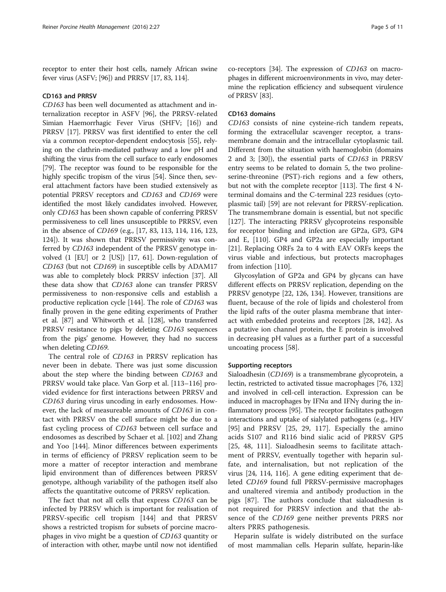receptor to enter their host cells, namely African swine fever virus (ASFV; [\[96](#page-9-0)]) and PRRSV [[17](#page-7-0), [83](#page-8-0), [114](#page-9-0)].

#### CD163 and PRRSV

CD163 has been well documented as attachment and internalization receptor in ASFV [[96\]](#page-9-0), the PRRSV-related Simian Haemorrhagic Fever Virus (SHFV; [[16](#page-7-0)]) and PRRSV [[17](#page-7-0)]. PRRSV was first identified to enter the cell via a common receptor-dependent endocytosis [[55\]](#page-8-0), relying on the clathrin-mediated pathway and a low pH and shifting the virus from the cell surface to early endosomes [[79](#page-8-0)]. The receptor was found to be responsible for the highly specific tropism of the virus [\[54\]](#page-8-0). Since then, several attachment factors have been studied extensively as potential PRRSV receptors and CD163 and CD169 were identified the most likely candidates involved. However, only CD163 has been shown capable of conferring PRRSV permissiveness to cell lines unsusceptible to PRRSV, even in the absence of CD169 (e.g., [[17](#page-7-0), [83](#page-8-0), [113](#page-9-0), [114, 116, 123](#page-9-0), [124](#page-9-0)]). It was shown that PRRSV permissivity was conferred by CD163 independent of the PRRSV genotype involved (1 [EU] or 2 [US]) [\[17,](#page-7-0) [61](#page-8-0)]. Down-regulation of CD163 (but not CD169) in susceptible cells by ADAM17 was able to completely block PRRSV infection [\[37](#page-7-0)]. All these data show that CD163 alone can transfer PRRSV permissiveness to non-responsive cells and establish a productive replication cycle [[144](#page-10-0)]. The role of CD163 was finally proven in the gene editing experiments of Prather et al. [[87](#page-9-0)] and Whitworth et al. [[128](#page-10-0)], who transferred PRRSV resistance to pigs by deleting CD163 sequences from the pigs' genome. However, they had no success when deleting CD169.

The central role of CD163 in PRRSV replication has never been in debate. There was just some discussion about the step where the binding between CD163 and PRRSV would take place. Van Gorp et al. [[113](#page-9-0)–[116\]](#page-9-0) provided evidence for first interactions between PRRSV and CD163 during virus uncoding in early endosomes. However, the lack of measureable amounts of CD163 in contact with PRRSV on the cell surface might be due to a fast cycling process of CD163 between cell surface and endosomes as described by Schaer et al. [[102\]](#page-9-0) and Zhang and Yoo [[144\]](#page-10-0). Minor differences between experiments in terms of efficiency of PRRSV replication seem to be more a matter of receptor interaction and membrane lipid environment than of differences between PRRSV genotype, although variability of the pathogen itself also affects the quantitative outcome of PRRSV replication.

The fact that not all cells that express CD163 can be infected by PRRSV which is important for realisation of PRRSV-specific cell tropism [\[144](#page-10-0)] and that PRRSV shows a restricted tropism for subsets of porcine macrophages in vivo might be a question of CD163 quantity or of interaction with other, maybe until now not identified

co-receptors [\[34](#page-7-0)]. The expression of CD163 on macrophages in different microenvironments in vivo, may determine the replication efficiency and subsequent virulence of PRRSV [[83\]](#page-8-0).

#### CD163 domains

CD163 consists of nine cysteine-rich tandem repeats, forming the extracellular scavenger receptor, a transmembrane domain and the intracellular cytoplasmic tail. Different from the situation with haemoglobin (domains 2 and 3; [\[30\]](#page-7-0)), the essential parts of CD163 in PRRSV entry seems to be related to domain 5, the two prolineserine-threonine (PST)-rich regions and a few others, but not with the complete receptor [\[113\]](#page-9-0). The first 4 Nterminal domains and the C-terminal 223 residues (cytoplasmic tail) [\[59\]](#page-8-0) are not relevant for PRRSV-replication. The transmembrane domain is essential, but not specific [[127\]](#page-10-0). The interacting PRRSV glycoproteins responsible for receptor binding and infection are GP2a, GP3, GP4 and E, [[110\]](#page-9-0). GP4 and GP2a are especially important [[21\]](#page-7-0). Replacing ORFs 2a to 4 with EAV ORFs keeps the virus viable and infectious, but protects macrophages from infection [[110](#page-9-0)].

Glycosylation of GP2a and GP4 by glycans can have different effects on PRRSV replication, depending on the PRRSV genotype [[22,](#page-7-0) [126,](#page-9-0) [134\]](#page-10-0). However, transitions are fluent, because of the role of lipids and cholesterol from the lipid rafts of the outer plasma membrane that interact with embedded proteins and receptors [\[28](#page-7-0), [142\]](#page-10-0). As a putative ion channel protein, the E protein is involved in decreasing pH values as a further part of a successful uncoating process [[58](#page-8-0)].

#### Supporting receptors

Sialoadhesin (CD169) is a transmembrane glycoprotein, a lectin, restricted to activated tissue macrophages [\[76,](#page-8-0) [132](#page-10-0)] and involved in cell-cell interaction. Expression can be induced in macrophages by IFN $\alpha$  and IFN $\gamma$  during the inflammatory process [\[95\]](#page-9-0). The receptor facilitates pathogen interactions and uptake of sialylated pathogens (e.g., HIV [[95](#page-9-0)] and PRRSV [[25, 29,](#page-7-0) [117\]](#page-9-0). Especially the amino acids S107 and R116 bind sialic acid of PRRSV GP5 [[25,](#page-7-0) [48](#page-8-0), [111\]](#page-9-0). Sialoadhesin seems to facilitate attachment of PRRSV, eventually together with heparin sulfate, and internalisation, but not replication of the virus [\[24,](#page-7-0) [114, 116](#page-9-0)]. A gene editing experiment that deleted CD169 found full PRRSV-permissive macrophages and unaltered viremia and antibody production in the pigs [\[87](#page-9-0)]. The authors conclude that sialoadhesin is not required for PRRSV infection and that the absence of the CD169 gene neither prevents PRRS nor alters PRRS pathogenesis.

Heparin sulfate is widely distributed on the surface of most mammalian cells. Heparin sulfate, heparin-like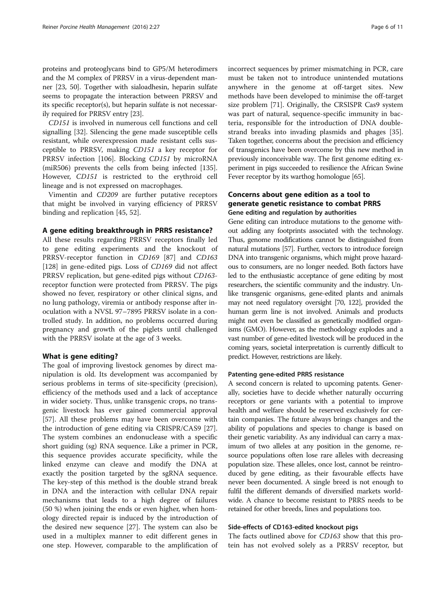proteins and proteoglycans bind to GP5/M heterodimers and the M complex of PRRSV in a virus-dependent manner [\[23,](#page-7-0) [50\]](#page-8-0). Together with sialoadhesin, heparin sulfate seems to propagate the interaction between PRRSV and its specific receptor(s), but heparin sulfate is not necessarily required for PRRSV entry [\[23\]](#page-7-0).

CD151 is involved in numerous cell functions and cell signalling [[32\]](#page-7-0). Silencing the gene made susceptible cells resistant, while overexpression made resistant cells susceptible to PRRSV, making CD151 a key receptor for PRRSV infection [\[106](#page-9-0)]. Blocking CD151 by microRNA (miR506) prevents the cells from being infected [\[135](#page-10-0)]. However, CD151 is restricted to the erythroid cell lineage and is not expressed on macrophages.

Vimentin and CD209 are further putative receptors that might be involved in varying efficiency of PRRSV binding and replication [\[45, 52\]](#page-8-0).

#### A gene editing breakthrough in PRRS resistance?

All these results regarding PRRSV receptors finally led to gene editing experiments and the knockout of PRRSV-receptor function in CD169 [[87\]](#page-9-0) and CD163 [[128\]](#page-10-0) in gene-edited pigs. Loss of CD169 did not affect PRRSV replication, but gene-edited pigs without CD163 receptor function were protected from PRRSV. The pigs showed no fever, respiratory or other clinical signs, and no lung pathology, viremia or antibody response after inoculation with a NVSL 97–7895 PRRSV isolate in a controlled study. In addition, no problems occurred during pregnancy and growth of the piglets until challenged with the PRRSV isolate at the age of 3 weeks.

### What is gene editing?

The goal of improving livestock genomes by direct manipulation is old. Its development was accompanied by serious problems in terms of site-specificity (precision), efficiency of the methods used and a lack of acceptance in wider society. Thus, unlike transgenic crops, no transgenic livestock has ever gained commercial approval [[57\]](#page-8-0). All these problems may have been overcome with the introduction of gene editing via CRISPR/CAS9 [\[27](#page-7-0)]. The system combines an endonuclease with a specific short guiding (sg) RNA sequence. Like a primer in PCR, this sequence provides accurate specificity, while the linked enzyme can cleave and modify the DNA at exactly the position targeted by the sgRNA sequence. The key-step of this method is the double strand break in DNA and the interaction with cellular DNA repair mechanisms that leads to a high degree of failures (50 %) when joining the ends or even higher, when homology directed repair is induced by the introduction of the desired new sequence [[27\]](#page-7-0). The system can also be used in a multiplex manner to edit different genes in one step. However, comparable to the amplification of incorrect sequences by primer mismatching in PCR, care must be taken not to introduce unintended mutations anywhere in the genome at off-target sites. New methods have been developed to minimise the off-target size problem [\[71](#page-8-0)]. Originally, the CRSISPR Cas9 system was part of natural, sequence-specific immunity in bacteria, responsible for the introduction of DNA doublestrand breaks into invading plasmids and phages [\[35](#page-7-0)]. Taken together, concerns about the precision and efficiency of transgenics have been overcome by this new method in previously inconceivable way. The first genome editing experiment in pigs succeeded to resilience the African Swine Fever receptor by its warthog homologue [\[65\]](#page-8-0).

# Concerns about gene edition as a tool to generate genetic resistance to combat PRRS Gene editing and regulation by authorities

Gene editing can introduce mutations to the genome without adding any footprints associated with the technology. Thus, genome modifications cannot be distinguished from natural mutations [[57](#page-8-0)]. Further, vectors to introduce foreign DNA into transgenic organisms, which might prove hazardous to consumers, are no longer needed. Both factors have led to the enthusiastic acceptance of gene editing by most researchers, the scientific community and the industry. Unlike transgenic organisms, gene-edited plants and animals may not need regulatory oversight [\[70](#page-8-0), [122](#page-9-0)], provided the human germ line is not involved. Animals and products might not even be classified as genetically modified organisms (GMO). However, as the methodology explodes and a vast number of gene-edited livestock will be produced in the coming years, societal interpretation is currently difficult to predict. However, restrictions are likely.

#### Patenting gene-edited PRRS resistance

A second concern is related to upcoming patents. Generally, societies have to decide whether naturally occurring receptors or gene variants with a potential to improve health and welfare should be reserved exclusively for certain companies. The future always brings changes and the ability of populations and species to change is based on their genetic variability. As any individual can carry a maximum of two alleles at any position in the genome, resource populations often lose rare alleles with decreasing population size. These alleles, once lost, cannot be reintroduced by gene editing, as their favourable effects have never been documented. A single breed is not enough to fulfil the different demands of diversified markets worldwide. A chance to become resistant to PRRS needs to be retained for other breeds, lines and populations too.

#### Side-effects of CD163-edited knockout pigs

The facts outlined above for CD163 show that this protein has not evolved solely as a PRRSV receptor, but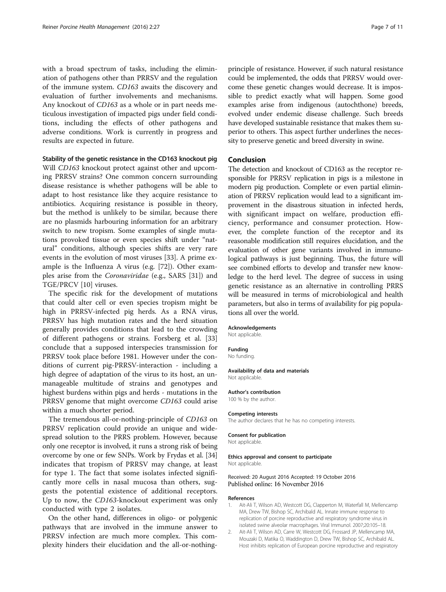<span id="page-6-0"></span>with a broad spectrum of tasks, including the elimination of pathogens other than PRRSV and the regulation of the immune system. CD163 awaits the discovery and evaluation of further involvements and mechanisms. Any knockout of CD163 as a whole or in part needs meticulous investigation of impacted pigs under field conditions, including the effects of other pathogens and adverse conditions. Work is currently in progress and results are expected in future.

#### Stability of the genetic resistance in the CD163 knockout pig

Will CD163 knockout protect against other and upcoming PRRSV strains? One common concern surrounding disease resistance is whether pathogens will be able to adapt to host resistance like they acquire resistance to antibiotics. Acquiring resistance is possible in theory, but the method is unlikely to be similar, because there are no plasmids harbouring information for an arbitrary switch to new tropism. Some examples of single mutations provoked tissue or even species shift under "natural" conditions, although species shifts are very rare events in the evolution of most viruses [\[33](#page-7-0)]. A prime example is the Influenza A virus (e.g. [\[72](#page-8-0)]). Other examples arise from the Coronaviridae (e.g., SARS [\[31](#page-7-0)]) and TGE/PRCV [[10\]](#page-7-0) viruses.

The specific risk for the development of mutations that could alter cell or even species tropism might be high in PRRSV-infected pig herds. As a RNA virus, PRRSV has high mutation rates and the herd situation generally provides conditions that lead to the crowding of different pathogens or strains. Forsberg et al. [[33](#page-7-0)] conclude that a supposed interspecies transmission for PRRSV took place before 1981. However under the conditions of current pig-PRRSV-interaction - including a high degree of adaptation of the virus to its host, an unmanageable multitude of strains and genotypes and highest burdens within pigs and herds - mutations in the PRRSV genome that might overcome CD163 could arise within a much shorter period.

The tremendous all-or-nothing-principle of CD163 on PRRSV replication could provide an unique and widespread solution to the PRRS problem. However, because only one receptor is involved, it runs a strong risk of being overcome by one or few SNPs. Work by Frydas et al. [[34](#page-7-0)] indicates that tropism of PRRSV may change, at least for type 1. The fact that some isolates infected significantly more cells in nasal mucosa than others, suggests the potential existence of additional receptors. Up to now, the CD163-knockout experiment was only conducted with type 2 isolates.

On the other hand, differences in oligo- or polygenic pathways that are involved in the immune answer to PRRSV infection are much more complex. This complexity hinders their elucidation and the all-or-nothing-

principle of resistance. However, if such natural resistance could be implemented, the odds that PRRSV would overcome these genetic changes would decrease. It is impossible to predict exactly what will happen. Some good examples arise from indigenous (autochthone) breeds, evolved under endemic disease challenge. Such breeds have developed sustainable resistance that makes them superior to others. This aspect further underlines the necessity to preserve genetic and breed diversity in swine.

#### Conclusion

The detection and knockout of CD163 as the receptor responsible for PRRSV replication in pigs is a milestone in modern pig production. Complete or even partial elimination of PRRSV replication would lead to a significant improvement in the disastrous situation in infected herds, with significant impact on welfare, production efficiency, performance and consumer protection. However, the complete function of the receptor and its reasonable modification still requires elucidation, and the evaluation of other gene variants involved in immunological pathways is just beginning. Thus, the future will see combined efforts to develop and transfer new knowledge to the herd level. The degree of success in using genetic resistance as an alternative in controlling PRRS will be measured in terms of microbiological and health parameters, but also in terms of availability for pig populations all over the world.

#### Acknowledgements

Not applicable.

#### Funding

No funding.

#### Availability of data and materials Not applicable.

Author's contribution

100 % by the author.

#### Competing interests

The author declares that he has no competing interests.

#### Consent for publication

Not applicable.

#### Ethics approval and consent to participate Not applicable.

Received: 20 August 2016 Accepted: 19 October 2016 Published online: 16 November 2016

#### References

- 1. Ait-Ali T, Wilson AD, Westcott DG, Clapperton M, Waterfall M, Mellencamp MA, Drew TW, Bishop SC, Archibald AL. Innate immune response to replication of porcine reproductive and respiratory syndrome virus in isolated swine alveolar macrophages. Viral Immunol. 2007;20:105–18.
- 2. Ait-Ali T, Wilson AD, Carre W, Westcott DG, Frossard JP, Mellencamp MA, Mouzaki D, Matika O, Waddington D, Drew TW, Bishop SC, Archibald AL. Host inhibits replication of European porcine reproductive and respiratory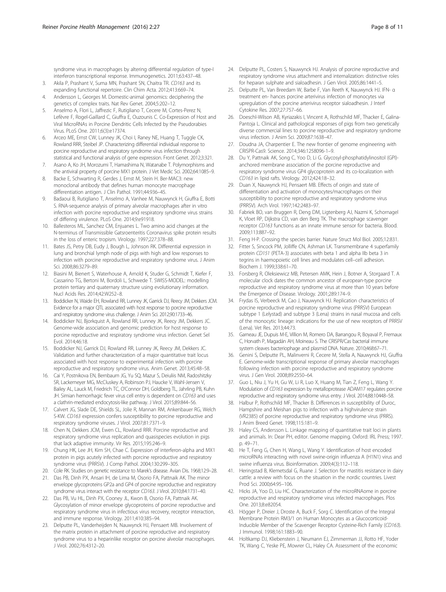<span id="page-7-0"></span>syndrome virus in macrophages by altering differential regulation of type-I interferon transcriptional response. Immunogenetics. 2011;63:437–48.

- 3. Akila P, Prashant V, Suma MN, Prashant SN, Chaitra TR. CD163 and its expanding functional repertoire. Clin Chim Acta. 2012;413:669–74.
- 4. Andersson L, Georges M. Domestic-animal genomics: deciphering the genetics of complex traits. Nat Rev Genet. 2004;5:202–12.
- 5. Anselmo A, Flori L, Jaffrezic F, Rutigliano T, Cecere M, Cortes-Perez N, Lefèvre F, Rogel-Gaillard C, Giuffra E, Ouzounis C. Co-Expression of Host and Viral MicroRNAs in Porcine Dendritic Cells Infected by the Pseudorabies Virus. PLoS One. 2011;6(3):e17374.
- Arceo ME, Ernst CW, Lunney JK, Choi I, Raney NE, Huang T, Tuggle CK, Rowland RRR, Steibel JP. Characterizing differential individual response to porcine reproductive and respiratory syndrome virus infection through statistical and functional analysis of gene expression. Front Genet. 2012;3:321.
- 7. Asano A, Ko JH, Morozumi T, Hamashima N, Watanabe T. Polymorphisms and the antiviral property of porcine MX1 protein. J Vet Medic Sci. 2002;64:1085–9.
- 8. Backe E, Schwarting R, Gerdes J, Ernst M, Stein H. Ber-MAC3: new monoclonal antibody that defines human monocyte macrophage differentiation antigen. J Clin Pathol. 1991;44:936–45.
- 9. Badaoui B, Rutigliano T, Anselmo A, Vanhee M, Nauwynck H, Giuffra E, Botti S. RNA-sequence analysis of primary alveolar macrophages after in vitro infection with porcine reproductive and respiratory syndrome virus strains of differing virulence. PLoS One. 2014;9:e91918.
- 10. Ballesteros ML, Sanchez CM, Enjuanes L. Two amino acid changes at the N-terminus of Transmissible Gatsroenteritis Coronavirus spike protein results in the loss of enteric tropism. Virology. 1997;227:378–88.
- 11. Bates JS, Petry DB, Eudy J, Bough L, Johnson RK. Differential expression in lung and bronchial lymph node of pigs with high and low responses to infection with porcine reproductive and respiratory syndrome virus. J Anim Sci. 2008;86:3279–89.
- 12. Biasini M, Bienert S, Waterhouse A, Arnold K, Studer G, Schmidt T, Kiefer F, Cassarino TG, Bertoni M, Bordoli L, Schwede T. SWISS-MODEL: modelling protein tertiary and quaternary structure using evolutionary information. Nucl Acids Res. 2014;42:W252–8.
- 13. Boddicker N, Waide EH, Rowland RR, Lunney JK, Garrick DJ, Reecy JM, Dekkers JCM. Evidence for a major QTL associated with host response to porcine reproductive and respiratory syndrome virus challenge. J Anim Sci. 2012;90:1733–46.
- 14. Boddicker NJ, Bjorkquist A, Rowland RR, Lunney JK, Reecy JM, Dekkers JC. Genome-wide association and genomic prediction for host response to porcine reproductive and respiratory syndrome virus infection. Genet Sel Evol. 2014;46:18.
- 15. Boddicker NJ, Garrick DJ, Rowland RR, Lunney JK, Reecy JM, Dekkers JC. Validation and further characterization of a major quantitative trait locus associated with host response to experimental infection with porcine reproductive and respiratory syndrome virus. Anim Genet. 2013;45:48–58.
- 16. Cai Y, Postnikova EN, Bernbaum JG, Yu SQ, Mazur S, Deiuliis NM, Radoshitzky SR, Lackemeyer MG, McCluskey A, Robinson PJ, Haucke V, Wahl-Jensen V, Bailey AL, Lauck M, Friedrich TC, O'Connor DH, Goldberg TL, Jahrling PB, Kuhn JH. Simian hemorrhagic fever virus cell entry is dependent on CD163 and uses a clathrin-mediated endocytosis-like pathway. J Virol. 2015;89:844–56.
- 17. Calvert JG, Slade DE, Shields SL, Jolie R, Mannan RM, Ankenbauer RG, Welch S-KW. CD163 expression confers susceptibility to porcine reproductive and respiratory syndrome viruses. J Virol. 2007;81:7371–9.
- 18. Chen N, Dekkers JCM, Ewen CL, Rowland RRR. Porcine reproductive and respiratory syndrome virus replication and quasispecies evolution in pigs that lack adaptive immunity. Vir Res. 2015;195:246–9.
- 19. Chung HK, Lee JH, Kim SH, Chae C. Expression of interferon-alpha and MX1 protein in pigs acutely infected with porcine reproductive and respiratory syndrome virus (PRRSV). J Comp Pathol. 2004;130:299–305.
- 20. Cole RK. Studies on genetic resistance to Marek's disease. Avian Dis. 1968;12:9–28.
- 21. Das PB, Dinh PX, Ansari IH, de Lima M, Osorio FA, Pattnaik AK. The minor envelope glycoproteins GP2a and GP4 of porcine reproductive and respiratory syndrome virus interact with the receptor CD163. J Virol. 2010;84:1731–40.
- 22. Das PB, Vu HL, Dinh PX, Cooney JL, Kwon B, Osorio FA, Pattnaik AK. Glycosylation of minor envelope glycoproteins of porcine reproductive and respiratory syndrome virus in infectious virus recovery, receptor interaction, and immune response. Virology. 2011;410:385–94.
- 23. Delputte PL, Vanderheijden N, Nauwynck HJ, Pensaert MB. Involvement of the matrix protein in attachment of porcine reproductive and respiratory syndrome virus to a heparinlike receptor on porcine alveolar macrophages. J Virol. 2002;76:4312–20.
- 24. Delputte PL, Costers S, Nauwynck HJ. Analysis of porcine reproductive and respiratory syndrome virus attachment and internalization: distinctive roles for heparan sulphate and sialoadhesin. J Gen Virol. 2005;86:1441–5.
- 25. Delputte PL, Van Breedam W, Barbe F, Van Reeth K, Nauwynck HJ. IFN- α treatment en- hances porcine arterivirus infection of monocytes via upregulation of the porcine arterivirus receptor sialoadhesin. J Interf Cytokine Res. 2007;27:757–66.
- 26. Doeschl-Wilson AB, Kyriazakis I, Vincent A, Rothschild MF, Thacker E, Galina-Pantoja L. Clinical and pathological responses of pigs from two genetically diverse commercial lines to porcine reproductive and respiratory syndrome virus infection. J Anim Sci. 2009;87:1638–47.
- 27. Doudna JA, Charpentier E. The new frontier of genome engineering with CRISPR-Cas9. Science. 2014;346:1258096-1–9.
- 28. Du Y, Pattnaik AK, Song C, Yoo D, Li G. Glycosyl-phosphatidylinositol (GPI) anchored membrane association of the porcine reproductive and respiratory syndrome virus GP4 glycoprotein and its co-localization with CD163 in lipid rafts. Virology. 2012;424:18–32.
- 29. Duan X, Nauwynck HJ, Pensaert MB. Effects of origin and state of differentiation and activation of monocytes/macrophages on their susceptibility to porcine reproductive and respiratory syndrome virus (PRRSV). Arch Virol. 1997;142:2483–97.
- 30. Fabriek BO, van Bruggen R, Deng DM, Ligtenberg AJ, Nazmi K, Schornagel K, Vloet RP, Dijkstra CD, van den Berg TK. The macrophage scavenger receptor CD163 functions as an innate immune sensor for bacteria. Blood. 2009;113:887–92.
- 31. Feng H-P. Crossing the species barrier. Nature Struct Mol Biol. 2005;12:831.
- 32. Fitter S, Sincock PM, Jolliffe CN, Ashman LK. Transmembrane 4 superfamily protein CD151 (PETA-3) associates with beta 1 and alpha IIb beta 3 in tegrins in haemopoietic cell lines and modulates cell–cell adhesion. Biochem J. 1999;338:61–70.
- 33. Forsberg R, Oleksiewicz MB, Petersen AMK, Hein J, Botner A, Storgaard T. A molecular clock dates the common ancestor of european-type porcine reproductive and respiratory syndrome virus at more than 10 years before the Emergence of Disease. Virology. 2001;289:174–9.
- 34. Frydas IS, Verbeeck M, Cao J, Nauwynck HJ. Replication characteristics of porcine reproductive and respiratory syndrome virus (PRRSV) European subtype 1 (Lelystad) and subtype 3 (Lena) strains in nasal mucosa and cells of the monocytic lineage: indications for the use of new receptors of PRRSV (Lena). Vet Res. 2013;44:73.
- 35. Garneau JE, Dupuis M-E, Villion M, Romero DA, Barrangou R, Boyaval P, Fremaux C, Horvath P, Magadán AH, Moineau S. The CRISPR/Cas bacterial immune system cleaves bacteriophage and plasmid DNA. Nature. 2010;468:67–71.
- 36. Genini S, Delputte PL, Malinverni R, Cecere M, Stella A, Nauwynck HJ, Giuffra E. Genome-wide transcriptional response of primary alveolar macrophages following infection with porcine reproductive and respiratory syndrome virus. J Gen Virol. 2008;89:2550–64.
- 37. Guo L, Niu J, Yu H, Gu W, Li R, Luo X, Huang M, Tian Z, Feng L, Wang Y. Modulation of CD163 expression by metalloprotease ADAM17 regulates porcine reproductive and respiratory syndrome virus entry. J Virol. 2014;88:10448–58.
- 38. Halbur P, Rothschild MF, Thacker B. Differences in susceptibility of Duroc, Hampshire and Meishan pigs to infection with a highvirulence strain (VR2385) of porcine reproductive and respiratory syndrome virus (PRRS). J Anim Breed Genet. 1998;115:181–9.
- 39. Haley CS, Andersson L. Linkage mapping of quantitative trait loci in plants and animals. In: Dear PH, editor. Genome mapping. Oxford: IRL Press; 1997. p. 49–71.
- 40. He T, Feng G, Chen H, Wang L, Wang Y. Identification of host encoded microRNAs interacting with novel swine-origin influenza A (H1N1) virus and swine influenza virus. Bioinformation. 2009;4(3):112–118.
- 41. Heringstad B, Klemetsdal G, Ruane J. Selection for mastitis resistance in dairy cattle: a review with focus on the situation in the nordic countries. Livest Prod Sci. 2000;64:95–106.
- 42. Hicks JA, Yoo D, Liu HC. Characterization of the microRNAome in porcine reproductive and respiratory syndrome virus infected macrophages. Plos One. 2013;8:e82054.
- 43. Högger P, Dreier J, Droste A, Buck F, Sorg C. Identification of the Integral Membrane Protein RM3/1 on Human Monocytes as a Glucocorticoid-Inducible Member of the Scavenger Receptor Cysteine-Rich Family (CD163). J Immunol. 1998;161:1883–90.
- 44. Holtkamp DJ, Kliebenstein J, Neumann EJ, Zimmerman JJ, Rotto HF, Yoder TK, Wang C, Yeske PE, Mowrer CL, Haley CA. Assessment of the economic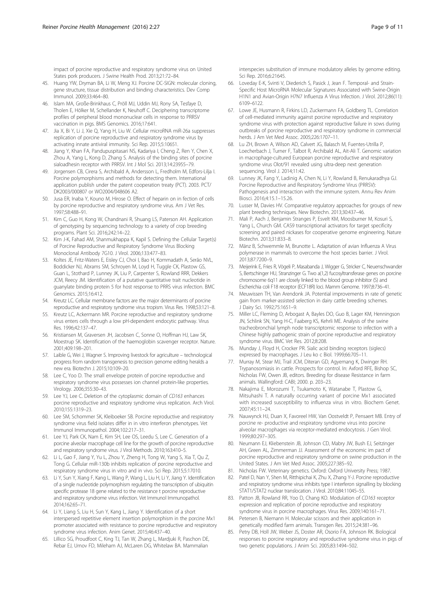<span id="page-8-0"></span>impact of porcine reproductive and respiratory syndrome virus on United States pork producers. J Swine Health Prod. 2013;21:72–84.

- 45. Huang YW, Dryman BA, Li W, Meng XJ. Porcine DC-SIGN: molecular cloning, gene structure, tissue distribution and binding characteristics. Dev Comp Immunol. 2009;33:464–80.
- 46. Islam MA, Große-Brinkhaus C, Pröll MJ, Uddin MJ, Rony SA, Tesfaye D, Tholen E, Hölker M, Schellander K, Neuhoff C. Deciphering transcriptome profiles of peripheral blood mononuclear cells in response to PRRSV vaccination in pigs. BMS Genomics. 2016;17:641.
- 47. Jia X, Bi Y, Li J, Xie Q, Yang H, Liu W. Cellular microRNA miR-26a suppresses replication of porcine reproductive and respiratory syndrome virus by activating innate antiviral immunity. Sci Rep. 2015;5:10651.
- 48. Jiang Y, Khan FA, Pandupuspitasari NS, Kadariya I, Cheng Z, Ren Y, Chen X, Zhou A, Yang L, Kong D, Zhang S. Analysis of the binding sites of porcine sialoadhesin receptor with PRRSV. Int J Mol Sci. 2013;14:23955–79.
- 49. Jorgensen CB, Cirera S, Archibald A, Andersson L, Fredholm M, Edfors-Lilja I. Porcine polymorphisms and methods for detecting them. International application publish under the patent cooperation treaty (PCT). 2003. PCT/ DK2003/000807 or WO2004/048606 A2.
- 50. Jusa ER, Inaba Y, Kouno M, Hirose O. Effect of heparin on in fection of cells by porcine reproductive and respiratory syndrome virus. Am J Vet Res. 1997;58:488–91.
- 51. Kim C, Guo H, Kong W, Chandnani R, Shuang LS, Paterson AH. Application of genotyping by sequencing technology to a variety of crop breeding programs. Plant Sci. 2016;242:14–22.
- 52. Kim J-K, Fahad AM, Shanmukhappa K, Kapil S. Defining the Cellular Target(s) of Porcine Reproductive and Respiratory Syndrome Virus Blocking Monoclonal Antibody 7G10. J Virol. 2006;133:477–83.
- 53. Koltes JE, Fritz-Waters E, Eisley CJ, Choi I, Bao H, Kommadath A, Serão NVL, Boddicker NJ, Abrams SM, Schroyen M, Loyd H, Tuggle CK, Plastow GS, Guan L, Stothard P, Lunney JK, Liu P, Carpenter S, Rowland RRR, Dekkers JCM, Reecy JM. Identification of a putative quantitative trait nucleotide in guanylate binding protein 5 for host response to PRRS virus infection. BMC Genomics. 2015;16:412.
- 54. Kreutz LC. Cellular membrane factors are the major determinants of porcine reproductive and respiratory syndrome virus tropism. Virus Res. 1998;53:121–8.
- 55. Kreutz LC, Ackermann MR. Porcine reproductive and respiratory syndrome virus enters cells through a low pH-dependent endocytic pathway. Virus Res. 1996;42:137–47.
- 56. Kristiansen M, Graversen JH, Jacobsen C, Sonne O, Hoffman HJ, Law SK, Moestrup SK. Identification of the haemoglobin scavenger receptor. Nature. 2001;409:198–201.
- 57. Laible G, Wei J, Wagner S. Improving livestock for agriculture technological progress from random transgenesis to precision genome editing heralds a new era. Biotechn J. 2015;10:109–20.
- 58. Lee C, Yoo D. The small envelope protein of porcine reproductive and respiratory syndrome virus possesses ion channel protein-like properties. Virology. 2006;355:30–43.
- 59. Lee YJ, Lee C. Deletion of the cytoplasmic domain of CD163 enhances porcine reproductive and respiratory syndrome virus replication. Arch Virol. 2010;155:1319–23.
- 60. Lee SM, Schommer SK, Kleiboeker SB. Porcine reproductive and respiratory syndrome virus field isolates differ in in vitro interferon phenotypes. Vet Immunol Immunopathol. 2004;102:217–31.
- 61. Lee YJ, Park CK, Nam E, Kim SH, Lee OS, Leedu S, Lee C. Generation of a porcine alveolar macrophage cell line for the growth of porcine reproductive and respiratory syndrome virus. J Virol Methods. 2010;163:410–5.
- 62. Li L, Gao F, Jiang Y, Yu L, Zhou Y, Zheng H, Tong W, Yang S, Xia T, Qu Z, Tong G. Cellular miR-130b inhibits replication of porcine reproductive and respiratory syndrome virus in vitro and in vivo. Sci Rep. 2015;5:17010.
- 63. Li Y, Sun Y, Xiang F, Kang L, Wang P, Wang L, Liu H, Li Y, Jiang Y. Identification of a single nucleotide polymorphism regulating the transcription of ubiquitin specific protease 18 gene related to the resistance t porcine reproductive and respiratory syndrome virus infection. Vet Immunol Immunopathol. 2014;162:65–71.
- 64. Li Y, Liang S, Liu H, Sun Y, Kang L, Jiang Y. Identification of a short interspersed repetitive element insertion polymorphism in the porcine Mx1 promoter associated with resistance to porcine reproductive and respiratory syndrome virus infection. Anim Genet. 2015;46:437–40.
- 65. Lillico SG, Proudfoot C, King TJ, Tan W, Zhang L, Mardjuki R, Paschon DE, Rebar EJ, Urnov FD, Mileham AJ, McLaren DG, Whitelaw BA. Mammalian

interspecies substitution of immune modulatory alleles by genome editing. Sci Rep. 2016;6:21645.

- 66. Loveday E-K, Svinti V, Diederich S, Pasick J, Jean F. Temporal- and Strain-Specific Host MicroRNA Molecular Signatures Associated with Swine-Origin H1N1 and Avian-Origin H7N7 Influenza A Virus Infection. J Virol. 2012;86(11): 6109–6122.
- 67. Lowe JE, Husmann R, Firkins LD, Zuckermann FA, Goldberg TL. Correlation of cell-mediated immunity against porcine reproductive and respiratory syndrome virus with protection against reproductive failure in sows during outbreaks of porcine reproductive and respiratory syndrome in commercial herds. J Am Vet Med Assoc. 2005;226:1707–11.
- 68. Lu ZH, Brown A, Wilson AD, Calvert JG, Balasch M, Fuentes-Utrilla P, Loecherbach J, Turner F, Talbot R, Archibald AL, Ait-Ali T. Genomic variation in macrophage-cultured European porcine reproductive and respiratory syndrome virus Olot/91 revealed using ultra-deep next generation sequencing. Virol J. 2014;11:42.
- 69. Lunney JK, Fang Y, Ladinig A, Chen N, Li Y, Rowland B, Renukaradhya GJ. Porcine Reproductive and Respiratory Syndrome Virus (PRRSV): Pathogenesis and interaction with the immune system. Annu Rev Anim Biosci. 2016;4:15.1–15.26.
- 70. Lusser M, Davies HV. Comparative regulatory approaches for groups of new plant breeding techniques. New Biotechn. 2013;30:437–46.
- 71. Mali P, Aach J, Benjamin Stranges P, Esvelt KM, Moosburner M, Kosuri S, Yang L, Church GM. CAS9 transcriptional activators for target specificity screening and paired nickases for cooperative genome engineering. Nature Biotechn. 2013;31:833–8.
- 72. Mänz B, Schwemmle M, Brunotte L. Adaptation of avian Influenza A Virus polymerase in mammals to overcome the host species barrier. J Virol. 2013;87:7200–9.
- 73. Meijerink E, Fries R, Vögeli P, Masabanda J, Wigger G, Stricker C, Neuenschwander S, Bertschinger HU, Stranzinger G. Two a(1,2) fucosyltransferase genes on porcine chromosome 6q11 are closely linked to the blood group inhibitor (S) and Escherichia coli F18 receptor (ECF18R) loci. Mamm Genome. 1997;8:736–41.
- 74. Meuwissen TH, Van Arendonk JA. Potential improvements in rate of genetic gain from marker-assisted selection in dairy cattle breeding schemes. J Dairy Sci. 1992;75:1651–9.
- 75. Miller LC, Fleming D, Arbogast A, Bayles DO, Guo B, Lager KM, Henningson JN, Schlink SN, Yang H-C, Faaberg KS, Kehrli ME. Analysis of the swine tracheobronchial lymph node transcriptomic response to infection with a Chinese highly pathogenic strain of porcine reproductive and respiratory syndrome virus. BMC Vet Res. 2012;8:208.
- 76. Munday J, Floyd H, Crocker PR. Sialic acid binding receptors (siglecs) expressed by macrophages. J Leu ko c Biol. 1999;66:705–11.
- 77. Murray M, Stear MJ, Trail JCM, Diteran GD, Agyemang K, Dwinger RH. Trypanosomiasis in cattle. Prospects for control. In: Axford RFE, Bishop SC, Nicholas FW, Owen JB, editors. Breeding for disease Resistance in farm animals. Wallingford: CABI; 2000. p. 203–23.
- 78. Nakajima E, Morozumi T, Tsukamoto K, Watanabe T, Plastow G, Mitsuhashi T. A naturally occurring variant of porcine Mx1 associated with increased susceptibility to influenza virus in vitro. Biochem Genet. 2007;45:11–24.
- 79. Nauwynck HJ, Duan X, Favoreel HW, Van Oostveldt P, Pensaert MB. Entry of porcine re- productive and respiratory syndrome virus into porcine alveolar macrophages via receptor-mediated endocytosis. J Gen Virol. 1999;80:297–305.
- 80. Neumann EJ, Kliebenstein JB, Johnson CD, Mabry JW, Bush EJ, Seitzinger AH, Green AL, Zimmerman JJ. Assessment of the economic im pact of porcine reproductive and respiratory syndrome on swine production in the United States. J Am Vet Med Assoc. 2005;227:385–92.
- 81. Nicholas FW. Veterinary genetics. Oxford: Oxford University Press; 1987.
- 82. Patel D, Nan Y, Shen M, Ritthipichai K, Zhu X, Zhang Y-J. Porcine reproductive and respiratory syndrome virus inhibits type I interferon signalling by blocking STAT1/STAT2 nuclear translocation. J Virol. 2010;84:11045–55.
- 83. Patton JB, Rowland RR, Yoo D, Chang KO. Modulation of CD163 receptor expression and replication of porcine reproductive and respiratory syndrome virus in porcine macrophages. Virus Res. 2009;140:161–71.
- 84. Petersen B, Niemann H. Molecular scissors and their application in genetically modified farm animals. Transgen Res. 2015;24:381–96.
- 85. Petry DB, Holl JW, Weber JS, Doster AR, Osorio FA, Johnson RK. Biological responses to porcine respiratory and reproductive syndrome virus in pigs of two genetic populations. J Anim Sci. 2005;83:1494–502.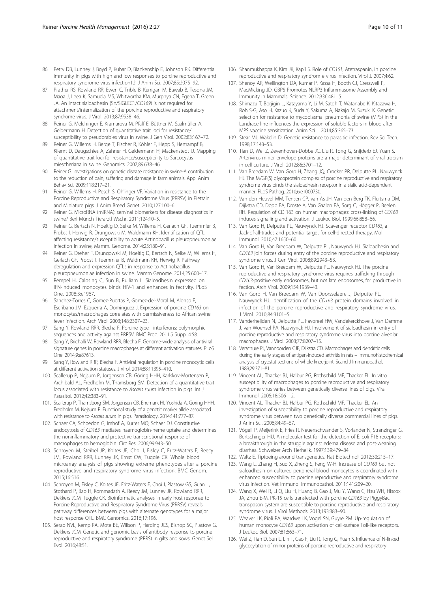- <span id="page-9-0"></span>86. Petry DB, Lunney J, Boyd P, Kuhar D, Blankenship E, Johnson RK. Differential immunity in pigs with high and low responses to porcine reproductive and respiratory syndrome virus infection12. J Anim Sci. 2007;85:2075–92.
- 87. Prather RS, Rowland RR, Ewen C, Trible B, Kerrigan M, Bawab B, Tesona JM, Maoa J, Leea K, Samuela MS, Whitwortha KM, Murphya CN, Egena T, Green JA. An intact sialoadhesin (Sn/SIGLEC1/CD169) is not required for attachment/internalization of the porcine reproductive and respiratory syndrome virus. J Virol. 2013;87:9538–46.
- 88. Reiner G, Melchinger E, Kramarova M, Pfaff E, Büttner M, Saalmüller A, Geldermann H. Detection of quantitative trait loci for resistance/ susceptibility to pseudorabies virus in swine. J Gen Virol. 2002;83:167–72.
- 89. Reiner G, Willems H, Berge T, Fischer R, Köhler F, Hepp S, Hertrampf B, Kliemt D, Daugschies A, Zahner H, Geldermann H, Mackenstedt U. Mapping of quantitative trait loci for resistance/susceptibility to Sarcocystis miescheriana in swine. Genomics. 2007;89:638–46.
- 90. Reiner G. Investigations on genetic disease resistance in swine-A contribution to the reduction of pain, suffering and damage in farm animals. Appl Anim Behav Sci. 2009;118:217–21.
- 91. Reiner G, Willems H, Pesch S, Ohlinger VF. Variation in resistance to the Porcine Reproductive and Respiratory Syndrome Virus (PRRSV) in Pietrain and Miniature pigs. J Anim Breed Genet. 2010;127:100–6.
- 92. Reiner G. MicroRNA (miRNA): seminal biomarkers for disease diagnostics in swine? Berl Münch Tierarztl Wschr. 2011;124:10–5.
- 93. Reiner G, Bertsch N, Hoeltig D, Selke M, Willems H, Gerlach GF, Tuemmler B, Probst I, Herwig R, Drungowski M, Waldmann KH. Identification of QTL affecting resistance/susceptibility to acute Actinobacillus pleuropneumoniae infection in swine, Mamm. Genome. 2014;25:180–91.
- 94. Reiner G, Dreher F, Drungowski M, Hoeltig D, Bertsch N, Selke M, Willems H, Gerlach GF, Probst I, Tuemmler B, Waldmann KH, Herwig R. Pathway deregulation and expression QTLs in response to Actinobacillus pleuropneumoniae infection in swine. Mamm Genome. 2014;25:600–17.
- Rempel H, Calosing C, Sun B, Pulliam L. Sialoadhesin expressed on IFN-induced monocytes binds HIV-1 and enhances in fectivity. PLoS One. 2008;3:e1967.
- 96. Sanchez-Torres C, Gomez-Puertas P, Gomez-del-Moral M, Alonso F, Escribano JM, Ezquerra A, Dominguez J. Expression of porcine CD163 on monocytes/macrophages correlates with permissiveness to African swine fever infection. Arch Virol. 2003;148:2307–23.
- 97. Sang Y, Rowland RRR, Blecha F. Porcine type I interferons: polymorphic sequences and activity against PRRSV. BMC Proc. 2011;5 Suppl 4:58.
- 98. Sang Y, Brichalli W, Rowland RRR, Blecha F. Genome-wide analysis of antiviral signature genes in porcine macrophages at different activation statuses. PLoS One. 2014;9:e87613.
- 99. Sang Y, Rowland RRR, Blecha F. Antiviral regulation in porcine monocytic cells at different activation statuses. J Virol. 2014;88:11395–410.
- 100. Scallerup P, Nejsum P, Jorgensen CB, Göring HHH, Karlskov-Mortensen P, Archibald AL, Fredholm M, Thamsborg SM. Detection of a quantitative trait locus associated with resistance to Ascaris suum infection in pigs. Int J Parasitol. 2012;42:383–91.
- 101. Scallerup P, Thamsborg SM, Jorgensen CB, Enemark HI, Yoshida A, Göring HHH, Fredholm M, Nejsum P. Functional study of a genetic marker allele associated with resistance to Ascaris suum in pigs. Parasitology. 2014;141:777–87.
- 102. Schaer CA, Schoedon G, Imhof A, Kurrer MO, Schaer DJ. Constitutive endocytosis of CD163 mediates haemoglobin-heme uptake and determines the noninflammatory and protective transcriptional response of macrophages to hemoglobin. Circ Res. 2006;99:943–50.
- 103. Schroyen M, Steibel JP, Koltes JE, Choi I, Eisley C, Fritz-Waters E, Reecy JM, Rowland RRR, Lunney JK, Ernst CW, Tuggle CK. Whole blood microarray analysis of pigs showing extreme phenotypes after a porcine reproductive and respiratory syndrome virus infection. BMC Genom. 2015;16:516.
- 104. Schroyen M, Eisley C, Koltes JE, Fritz-Waters E, Choi I, Plastow GS, Guan L, Stothard P, Bao H, Kommadath A, Reecy JM, Lunney JK, Rowland RRR, Dekkers JCM, Tuggle CK. Bioinformatic analyses in early host response to Porcine Reproductive and Respiratory Syndrome Virus (PRRSV) reveals pathway differences between pigs with alternate genotypes for a major host response QTL. BMC Genomics. 2016;17:196.
- 105. Serao NVL, Kemp RA, Mote BE, Willson P, Harding JCS, Bishop SC, Plastow G, Dekkers JCM. Genetic and genomic basis of antibody response to porcine reproductive and respiratory syndrome (PRRS) in gilts and sows. Genet Sel Evol. 2016;48:51.
- 106. Shanmukhappa K, Kim JK, Kapil S. Role of CD151, Atetraspanin, in porcine reproductive and respiratory syndrom e virus infection. Virol J. 2007;4:62.
- 107. Shenoy AR, Wellington DA, Kumar P, Kassa H, Booth CJ, Cresswell P, MacMicking JD. GBP5 Promotes NLRP3 Inflammasome Assembly and Immunity in Mammals. Science. 2012;336:481–5.
- 108. Shimazu T, Borjigin L, Katayama Y, Li M, Satoh T, Watanabe K, Kitazawa H, Roh S-G, Aso H, Kazuo K, Suda Y, Sakuma A, Nakajo M, Suzuki K. Genetic selection for resistance to mycoplasmal pneumonia of swine (MPS) in the Landrace line influences the expression of soluble factors in blood after MPS vaccine sensitization. Anim Sci J. 2014;85:365–73.
- 109. Stear MJ, Wakelin D. Genetic resistance to parasitic infection. Rev Sci Tech. 1998;17:143–53.
- 110. Tian D, Wei Z, Zevenhoven-Dobbe JC, Liu R, Tong G, Snijderb EJ, Yuan S. Arterivirus minor envelope proteins are a major determinant of viral tropism in cell culture. J Virol. 2012;86:3701–12.
- 111. Van Breedam W, Van Gorp H, Zhang JQ, Crocker PR, Delputte PL, Nauwynck HJ. The M/GP(5) glycoprotein complex of porcine reproductive and respiratory syndrome virus binds the sialoadhesin receptor in a sialic acid-dependent manner. PLoS Pathog. 2010;6:e1000730.
- 112. Van den Heuvel MM, Tensen CP, van As JH, Van den Berg TK, Fluitsma DM, Dijkstra CD, Dopp EA, Droste A, Van Gaalen FA, Sorg C, Högger P, Beelen RH. Regulation of CD 163 on human macrophages: cross-linking of CD163 induces signalling and activation. J Leukoc Biol. 1999;66:858–66.
- 113. Van Gorp H, Delputte PL, Nauwynck HJ. Scavenger receptor CD163, a Jack-of-all-trades and potential target for cell-directed therapy. Mol Immunol. 2010;47:1650–60.
- 114. Van Gorp H, Van Breedam W, Delputte PL, Nauwynck HJ. Sialoadhesin and CD163 join forces during entry of the porcine reproductive and respiratory syndrome virus. J Gen Virol. 2008;89:2943–53.
- 115. Van Gorp H, Van Breedam W, Delputte PL, Nauwynck HJ. The porcine reproductive and respiratory syndrome virus requires trafficking through CD163-positive early endosomes, but not late endosomes, for productive in fection. Arch Virol. 2009;154:1939–43.
- 116. Van Gorp H, Van Breedam W, Van Doorsselaere J, Delputte PL, Nauwynck HJ. Identification of the CD163 protein domains involved in infection of the porcine reproductive and respiratory syndrome virus. J Virol. 2010;84:3101–5.
- 117. Vanderheijden N, Delputte PL, Favoreel HW, Vandekerckhove J, Van Damme J, van Woensel PA, Nauwynck HJ. Involvement of sialoadhesin in entry of porcine reproductive and respiratory syndrome virus into porcine alveolar macrophages. J Virol. 2003;77:8207–15.
- 118. Verschure PJ, Vannoorden CJF, Dijkstra CD. Macrophages and dendritic cells during the early stages of antigen-induced arthritis in rats – immunohistochemical analysis of cryostat sections of whole knee-joint. Scand J Immunopathol. 1989;29:371–81.
- 119. Vincent AL, Thacker BJ, Halbur PG, Rothschild MF, Thacker EL. In vitro susceptibility of macrophages to porcine reproductive and respiratory syndrome virus varies between genetically diverse lines of pigs. Viral Immunol. 2005;18:506–12.
- 120. Vincent AL, Thacker BJ, Halbur PG, Rothschild MF, Thacker EL. An investigation of susceptibility to porcine reproductive and respiratory syndrome virus between two genetically diverse commercial lines of pigs. J Anim Sci. 2006;84:49–57.
- 121. Vögeli P, Meijerink E, Fries R, Neuenschwander S, Vorlander N, Stranzinger G, Bertschinger HU. A molecular test for the detection of E. coli F18 receptors: a breakthrough in the struggle against edema disease and post-weaning diarrhea. Schweizer Arch Tierheilk. 1997;139:479–84.
- 122. Waltz E. Tiptoeing around transgenetics. Nat Biotechnol. 2012;30:215–17.
- 123. Wang L, Zhang H, Suo X, Zheng S, Feng W-H. Increase of CD163 but not sialoadhesin on cultured peripheral blood monocytes is coordinated with enhanced susceptibility to porcine reproductive and respiratory syndrome virus infection. Vet Immunol Immunopathol. 2011;141:209–20.
- 124. Wang X, Wei R, Li Q, Liu H, Huang B, Gao J, Mu Y, Wang C, Hsu WH, Hiscox JA, Zhou E-M. PK-15 cells transfected with porcine CD163 by PiggyBac transposon system are susceptible to porcine reproductive and respiratory syndrome virus. J Virol Methods. 2013;193:383–90.
- 125. Weaver LK, Pioli PA, Wardwell K, Vogel SN, Guyre PM. Up-regulation of human monocyte CD163 upon activation of cell-surface Toll-like receptors. J Leukoc Biol. 2007;81:663–71.
- 126. Wei Z, Tian D, Sun L, Lin T, Gao F, Liu R, Tong G, Yuan S. Influence of N-linked glycosylation of minor proteins of porcine reproductive and respiratory